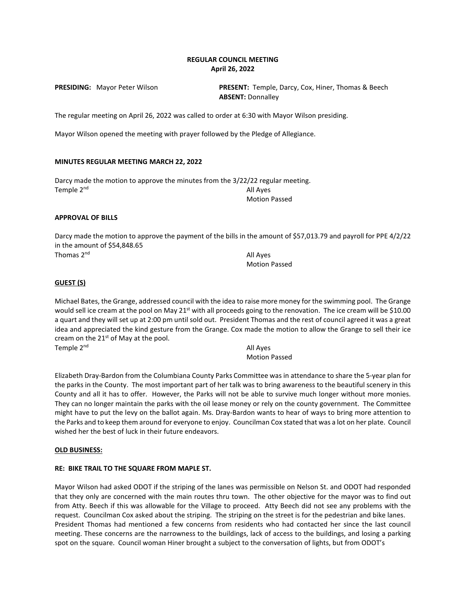# **REGULAR COUNCIL MEETING April 26, 2022**

**PRESIDING:** Mayor Peter Wilson **PRESENT:** Temple, Darcy, Cox, Hiner, Thomas & Beech **ABSENT:** Donnalley

The regular meeting on April 26, 2022 was called to order at 6:30 with Mayor Wilson presiding.

Mayor Wilson opened the meeting with prayer followed by the Pledge of Allegiance.

# **MINUTES REGULAR MEETING MARCH 22, 2022**

Darcy made the motion to approve the minutes from the 3/22/22 regular meeting. Temple 2<sup>nd</sup> All Ayes Motion Passed

# **APPROVAL OF BILLS**

Darcy made the motion to approve the payment of the bills in the amount of \$57,013.79 and payroll for PPE 4/2/22 in the amount of \$54,848.65 Thomas  $2<sup>nd</sup>$  All Ayes

Motion Passed

# **GUEST (S)**

Michael Bates, the Grange, addressed council with the idea to raise more money for the swimming pool. The Grange would sell ice cream at the pool on May 21<sup>st</sup> with all proceeds going to the renovation. The ice cream will be \$10.00 a quart and they will set up at 2:00 pm until sold out. President Thomas and the rest of council agreed it was a great idea and appreciated the kind gesture from the Grange. Cox made the motion to allow the Grange to sell their ice cream on the 21<sup>st</sup> of May at the pool. Temple 2<sup>nd</sup> All Ayes

Motion Passed

Elizabeth Dray-Bardon from the Columbiana County Parks Committee was in attendance to share the 5-year plan for the parks in the County. The most important part of her talk was to bring awareness to the beautiful scenery in this County and all it has to offer. However, the Parks will not be able to survive much longer without more monies. They can no longer maintain the parks with the oil lease money or rely on the county government. The Committee might have to put the levy on the ballot again. Ms. Dray-Bardon wants to hear of ways to bring more attention to the Parks and to keep them around for everyone to enjoy. Councilman Cox stated that was a lot on her plate. Council wished her the best of luck in their future endeavors.

# **OLD BUSINESS:**

# **RE: BIKE TRAIL TO THE SQUARE FROM MAPLE ST.**

Mayor Wilson had asked ODOT if the striping of the lanes was permissible on Nelson St. and ODOT had responded that they only are concerned with the main routes thru town. The other objective for the mayor was to find out from Atty. Beech if this was allowable for the Village to proceed. Atty Beech did not see any problems with the request. Councilman Cox asked about the striping. The striping on the street is for the pedestrian and bike lanes. President Thomas had mentioned a few concerns from residents who had contacted her since the last council meeting. These concerns are the narrowness to the buildings, lack of access to the buildings, and losing a parking spot on the square. Council woman Hiner brought a subject to the conversation of lights, but from ODOT's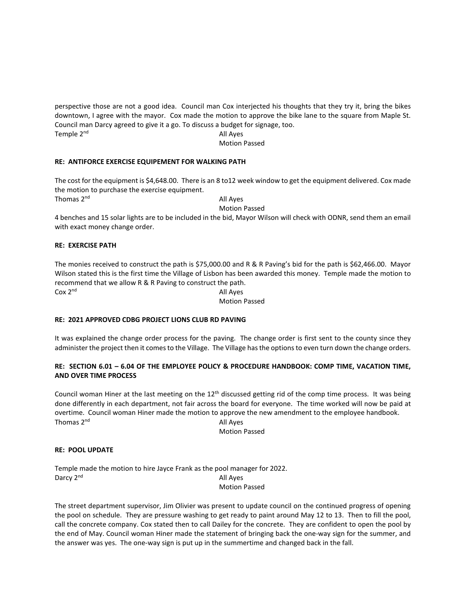perspective those are not a good idea. Council man Cox interjected his thoughts that they try it, bring the bikes downtown, I agree with the mayor. Cox made the motion to approve the bike lane to the square from Maple St. Council man Darcy agreed to give it a go. To discuss a budget for signage, too. Temple 2<sup>nd</sup> All Ayes

Motion Passed

# **RE: ANTIFORCE EXERCISE EQUIPEMENT FOR WALKING PATH**

The cost for the equipment is \$4,648.00. There is an 8 to12 week window to get the equipment delivered. Cox made the motion to purchase the exercise equipment. Thomas  $2<sup>nd</sup>$  All Ayes

Motion Passed

4 benches and 15 solar lights are to be included in the bid, Mayor Wilson will check with ODNR, send them an email with exact money change order.

# **RE: EXERCISE PATH**

The monies received to construct the path is \$75,000.00 and R & R Paving's bid for the path is \$62,466.00. Mayor Wilson stated this is the first time the Village of Lisbon has been awarded this money. Temple made the motion to recommend that we allow R & R Paving to construct the path. Cox 2<sup>nd</sup> All Ayes

# Motion Passed

# **RE: 2021 APPROVED CDBG PROJECT LIONS CLUB RD PAVING**

It was explained the change order process for the paving. The change order is first sent to the county since they administer the project then it comes to the Village. The Village has the options to even turn down the change orders.

# **RE: SECTION 6.01 – 6.04 OF THE EMPLOYEE POLICY & PROCEDURE HANDBOOK: COMP TIME, VACATION TIME, AND OVER TIME PROCESS**

Council woman Hiner at the last meeting on the 12th discussed getting rid of the comp time process. It was being done differently in each department, not fair across the board for everyone. The time worked will now be paid at overtime. Council woman Hiner made the motion to approve the new amendment to the employee handbook. Thomas 2<sup>nd</sup> All Ayes

Motion Passed

# **RE: POOL UPDATE**

Temple made the motion to hire Jayce Frank as the pool manager for 2022. Darcy 2<sup>nd</sup> All Ayes Motion Passed

The street department supervisor, Jim Olivier was present to update council on the continued progress of opening the pool on schedule. They are pressure washing to get ready to paint around May 12 to 13. Then to fill the pool, call the concrete company. Cox stated then to call Dailey for the concrete. They are confident to open the pool by the end of May. Council woman Hiner made the statement of bringing back the one-way sign for the summer, and the answer was yes. The one-way sign is put up in the summertime and changed back in the fall.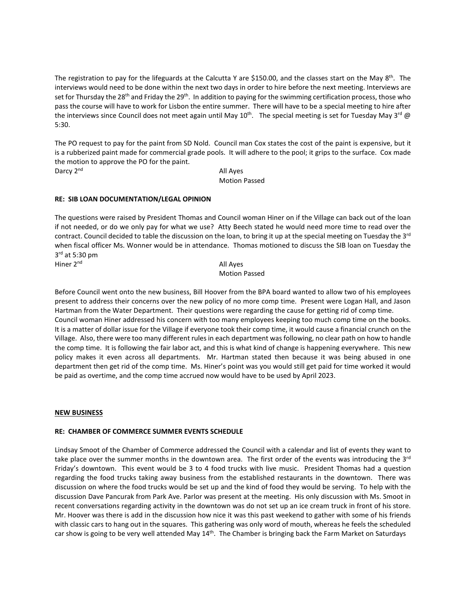The registration to pay for the lifeguards at the Calcutta Y are \$150.00, and the classes start on the May  $8^{th}$ . The interviews would need to be done within the next two days in order to hire before the next meeting. Interviews are set for Thursday the 28<sup>th</sup> and Friday the 29<sup>th</sup>. In addition to paying for the swimming certification process, those who pass the course will have to work for Lisbon the entire summer. There will have to be a special meeting to hire after the interviews since Council does not meet again until May 10<sup>th</sup>. The special meeting is set for Tuesday May 3<sup>rd</sup> @ 5:30.

The PO request to pay for the paint from SD Nold. Council man Cox states the cost of the paint is expensive, but it is a rubberized paint made for commercial grade pools. It will adhere to the pool; it grips to the surface. Cox made the motion to approve the PO for the paint. Darcy 2<sup>nd</sup> All Ayes

Motion Passed

# **RE: SIB LOAN DOCUMENTATION/LEGAL OPINION**

The questions were raised by President Thomas and Council woman Hiner on if the Village can back out of the loan if not needed, or do we only pay for what we use? Atty Beech stated he would need more time to read over the contract. Council decided to table the discussion on the loan, to bring it up at the special meeting on Tuesday the 3<sup>rd</sup> when fiscal officer Ms. Wonner would be in attendance. Thomas motioned to discuss the SIB loan on Tuesday the 3rd at 5:30 pm Hiner 2<sup>nd</sup> All Ayes

# Motion Passed

Before Council went onto the new business, Bill Hoover from the BPA board wanted to allow two of his employees present to address their concerns over the new policy of no more comp time. Present were Logan Hall, and Jason Hartman from the Water Department. Their questions were regarding the cause for getting rid of comp time. Council woman Hiner addressed his concern with too many employees keeping too much comp time on the books. It is a matter of dollar issue for the Village if everyone took their comp time, it would cause a financial crunch on the Village. Also, there were too many different rules in each department was following, no clear path on how to handle the comp time. It is following the fair labor act, and this is what kind of change is happening everywhere. This new policy makes it even across all departments. Mr. Hartman stated then because it was being abused in one department then get rid of the comp time. Ms. Hiner's point was you would still get paid for time worked it would be paid as overtime, and the comp time accrued now would have to be used by April 2023.

# **NEW BUSINESS**

# **RE: CHAMBER OF COMMERCE SUMMER EVENTS SCHEDULE**

Lindsay Smoot of the Chamber of Commerce addressed the Council with a calendar and list of events they want to take place over the summer months in the downtown area. The first order of the events was introducing the 3<sup>rd</sup> Friday's downtown. This event would be 3 to 4 food trucks with live music. President Thomas had a question regarding the food trucks taking away business from the established restaurants in the downtown. There was discussion on where the food trucks would be set up and the kind of food they would be serving. To help with the discussion Dave Pancurak from Park Ave. Parlor was present at the meeting. His only discussion with Ms. Smoot in recent conversations regarding activity in the downtown was do not set up an ice cream truck in front of his store. Mr. Hoover was there is add in the discussion how nice it was this past weekend to gather with some of his friends with classic cars to hang out in the squares. This gathering was only word of mouth, whereas he feels the scheduled car show is going to be very well attended May  $14<sup>th</sup>$ . The Chamber is bringing back the Farm Market on Saturdays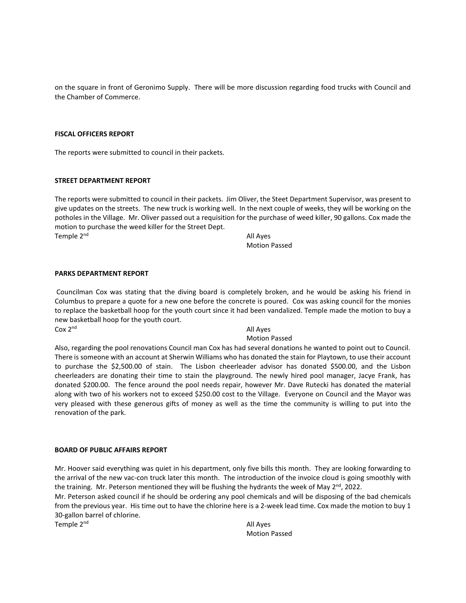on the square in front of Geronimo Supply. There will be more discussion regarding food trucks with Council and the Chamber of Commerce.

### **FISCAL OFFICERS REPORT**

The reports were submitted to council in their packets.

#### **STREET DEPARTMENT REPORT**

The reports were submitted to council in their packets. Jim Oliver, the Steet Department Supervisor, was present to give updates on the streets. The new truck is working well. In the next couple of weeks, they will be working on the potholes in the Village. Mr. Oliver passed out a requisition for the purchase of weed killer, 90 gallons. Cox made the motion to purchase the weed killer for the Street Dept. Temple 2<sup>nd</sup> All Ayes

Motion Passed

#### **PARKS DEPARTMENT REPORT**

Councilman Cox was stating that the diving board is completely broken, and he would be asking his friend in Columbus to prepare a quote for a new one before the concrete is poured. Cox was asking council for the monies to replace the basketball hoop for the youth court since it had been vandalized. Temple made the motion to buy a new basketball hoop for the youth court.

Cox 2<sup>nd</sup> All Ayes

### Motion Passed

Also, regarding the pool renovations Council man Cox has had several donations he wanted to point out to Council. There is someone with an account at Sherwin Williams who has donated the stain for Playtown, to use their account to purchase the \$2,500.00 of stain. The Lisbon cheerleader advisor has donated \$500.00, and the Lisbon cheerleaders are donating their time to stain the playground. The newly hired pool manager, Jacye Frank, has donated \$200.00. The fence around the pool needs repair, however Mr. Dave Rutecki has donated the material along with two of his workers not to exceed \$250.00 cost to the Village. Everyone on Council and the Mayor was very pleased with these generous gifts of money as well as the time the community is willing to put into the renovation of the park.

#### **BOARD OF PUBLIC AFFAIRS REPORT**

Mr. Hoover said everything was quiet in his department, only five bills this month. They are looking forwarding to the arrival of the new vac-con truck later this month. The introduction of the invoice cloud is going smoothly with the training. Mr. Peterson mentioned they will be flushing the hydrants the week of May  $2^{nd}$ , 2022.

Mr. Peterson asked council if he should be ordering any pool chemicals and will be disposing of the bad chemicals from the previous year. His time out to have the chlorine here is a 2-week lead time. Cox made the motion to buy 1 30-gallon barrel of chlorine.

Temple 2<sup>nd</sup> All Ayes

Motion Passed